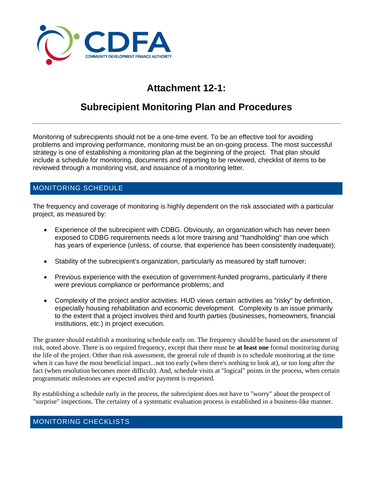

# **Attachment 12-1:**

# **Subrecipient Monitoring Plan and Procedures**

Monitoring of subrecipients should not be a one-time event. To be an effective tool for avoiding problems and improving performance, monitoring must be an on-going process. The most successful strategy is one of establishing a monitoring plan at the beginning of the project. That plan should include a schedule for monitoring, documents and reporting to be reviewed, checklist of items to be reviewed through a monitoring visit, and issuance of a monitoring letter.

### MONITORING SCHEDULE

The frequency and coverage of monitoring is highly dependent on the risk associated with a particular project, as measured by:

- Experience of the subrecipient with CDBG. Obviously, an organization which has never been exposed to CDBG requirements needs a lot more training and "handholding" than one which has years of experience (unless, of course, that experience has been consistently inadequate);
- Stability of the subrecipient's organization, particularly as measured by staff turnover;
- Previous experience with the execution of government-funded programs, particularly if there were previous compliance or performance problems; and
- Complexity of the project and/or activities. HUD views certain activities as "risky" by definition, especially housing rehabilitation and economic development. Complexity is an issue primarily to the extent that a project involves third and fourth parties (businesses, homeowners, financial institutions, etc.) in project execution.

The grantee should establish a monitoring schedule early on. The frequency should be based on the assessment of risk, noted above. There is no required frequency, except that there must be **at least one** formal monitoring during the life of the project. Other than risk assessment, the general rule of thumb is to schedule monitoring at the time when it can have the most beneficial impact...not too early (when there's nothing to look at), or too long after the fact (when resolution becomes more difficult). And, schedule visits at "logical" points in the process, when certain programmatic milestones are expected and/or payment is requested.

By establishing a schedule early in the process, the subrecipient does not have to "worry" about the prospect of "surprise" inspections. The certainty of a systematic evaluation process is established in a business-like manner.

#### MONITORING CHECKLISTS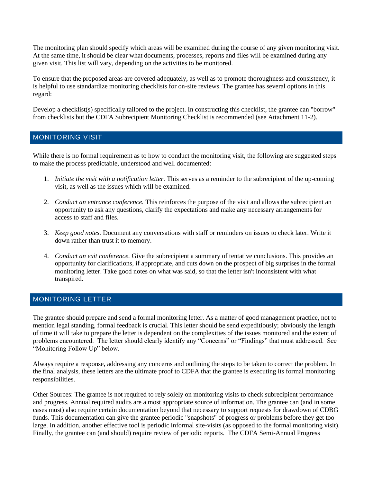The monitoring plan should specify which areas will be examined during the course of any given monitoring visit. At the same time, it should be clear what documents, processes, reports and files will be examined during any given visit. This list will vary, depending on the activities to be monitored.

To ensure that the proposed areas are covered adequately, as well as to promote thoroughness and consistency, it is helpful to use standardize monitoring checklists for on-site reviews. The grantee has several options in this regard:

Develop a checklist(s) specifically tailored to the project. In constructing this checklist, the grantee can "borrow" from checklists but the CDFA Subrecipient Monitoring Checklist is recommended (see Attachment 11-2).

#### MONITORING VISIT

While there is no formal requirement as to how to conduct the monitoring visit, the following are suggested steps to make the process predictable, understood and well documented:

- 1. *Initiate the visit with a notification letter.* This serves as a reminder to the subrecipient of the up-coming visit, as well as the issues which will be examined.
- 2. *Conduct an entrance conference.* This reinforces the purpose of the visit and allows the subrecipient an opportunity to ask any questions, clarify the expectations and make any necessary arrangements for access to staff and files.
- 3. *Keep good notes.* Document any conversations with staff or reminders on issues to check later. Write it down rather than trust it to memory.
- 4. *Conduct an exit conference.* Give the subrecipient a summary of tentative conclusions. This provides an opportunity for clarifications, if appropriate, and cuts down on the prospect of big surprises in the formal monitoring letter. Take good notes on what was said, so that the letter isn't inconsistent with what transpired.

#### MONITORING LETTER

The grantee should prepare and send a formal monitoring letter. As a matter of good management practice, not to mention legal standing, formal feedback is crucial. This letter should be send expeditiously; obviously the length of time it will take to prepare the letter is dependent on the complexities of the issues monitored and the extent of problems encountered. The letter should clearly identify any "Concerns" or "Findings" that must addressed. See "Monitoring Follow Up" below.

Always require a response, addressing any concerns and outlining the steps to be taken to correct the problem. In the final analysis, these letters are the ultimate proof to CDFA that the grantee is executing its formal monitoring responsibilities.

Other Sources: The grantee is not required to rely solely on monitoring visits to check subrecipient performance and progress. Annual required audits are a most appropriate source of information. The grantee can (and in some cases must) also require certain documentation beyond that necessary to support requests for drawdown of CDBG funds. This documentation can give the grantee periodic "snapshots" of progress or problems before they get too large. In addition, another effective tool is periodic informal site-visits (as opposed to the formal monitoring visit). Finally, the grantee can (and should) require review of periodic reports. The CDFA Semi-Annual Progress